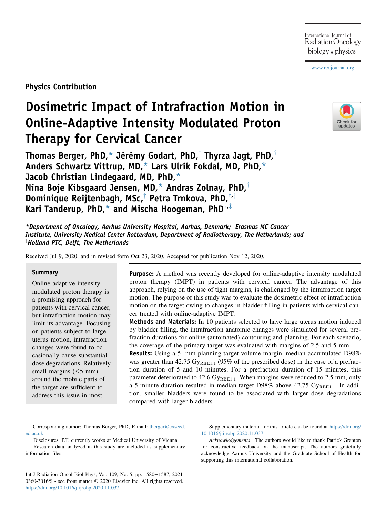[www.redjournal.org](http://www.redjournal.org)

Physics Contribution

# Dosimetric Impact of Intrafraction Motion in Online-Adaptive Intensity Modulated Proton Therapy for Cervical Cancer

Thomas Berger, PhD,\* Jérémy Godart, PhD, $\dagger$  Thyrza Jagt, PhD, $\dagger$ Anders Schwartz Vittrup, MD,\* Lars Ulrik Fokdal, MD, PhD,\* Jacob Christian Lindegaard, MD, PhD,\* Nina Boje Kibsgaard Jensen, MD,\* Andras Zolnay, PhD, $^{\dagger}$ Dominique Reijtenbagh, MSc,<sup>†</sup> Petra Trnkova, PhD,<sup>†,‡</sup> Kari Tanderup, PhD,\* and Mischa Hoogeman, PhD $^{\dagger,\ddagger}$ 



\*Department of Oncology, Aarhus University Hospital, Aarhus, Denmark; <sup>T</sup>Erasmus MC Cancer Institute, University Medical Center Rotterdam, Department of Radiotherapy, The Netherlands; and  ${}^{\ddagger}$ Holland PTC, Delft, The Netherlands

Received Jul 9, 2020, and in revised form Oct 23, 2020. Accepted for publication Nov 12, 2020.

#### **Summary**

Online-adaptive intensity modulated proton therapy is a promising approach for patients with cervical cancer, but intrafraction motion may limit its advantage. Focusing on patients subject to large uterus motion, intrafraction changes were found to occasionally cause substantial dose degradations. Relatively small margins  $(\leq 5$  mm) around the mobile parts of the target are sufficient to address this issue in most

Purpose: A method was recently developed for online-adaptive intensity modulated proton therapy (IMPT) in patients with cervical cancer. The advantage of this approach, relying on the use of tight margins, is challenged by the intrafraction target motion. The purpose of this study was to evaluate the dosimetric effect of intrafraction motion on the target owing to changes in bladder filling in patients with cervical cancer treated with online-adaptive IMPT.

**Methods and Materials:** In 10 patients selected to have large uterus motion induced by bladder filling, the intrafraction anatomic changes were simulated for several prefraction durations for online (automated) contouring and planning. For each scenario, the coverage of the primary target was evaluated with margins of 2.5 and 5 mm.

Results: Using a 5- mm planning target volume margin, median accumulated D98% was greater than 42.75  $Gy_{RBE1.1}$  (95% of the prescribed dose) in the case of a prefraction duration of 5 and 10 minutes. For a prefraction duration of 15 minutes, this parameter deteriorated to 42.6  $Gy_{RBE1.1}$ . When margins were reduced to 2.5 mm, only a 5-minute duration resulted in median target D98% above  $42.75 \text{ Gy}_{RBE1.1}$ . In addition, smaller bladders were found to be associated with larger dose degradations compared with larger bladders.

Corresponding author: Thomas Berger, PhD; E-mail: [tberger@exseed.](mailto:tberger@exseed.ed.ac.uk) [ed.ac.uk](mailto:tberger@exseed.ed.ac.uk)

Disclosures: P.T. currently works at Medical University of Vienna. Research data analyzed in this study are included as supplementary information files.

Int J Radiation Oncol Biol Phys, Vol. 109, No. 5, pp. 1580-1587, 2021 0360-3016/\$ - see front matter © 2020 Elsevier Inc. All rights reserved. <https://doi.org/10.1016/j.ijrobp.2020.11.037>

Supplementary material for this article can be found at [https://doi.org/](https://doi.org/10.1016/j.ijrobp.2020.11.037) [10.1016/j.ijrobp.2020.11.037](https://doi.org/10.1016/j.ijrobp.2020.11.037).

Acknowledgements-The authors would like to thank Patrick Granton for constructive feedback on the manuscript. The authors gratefully acknowledge Aarhus University and the Graduate School of Health for supporting this international collaboration.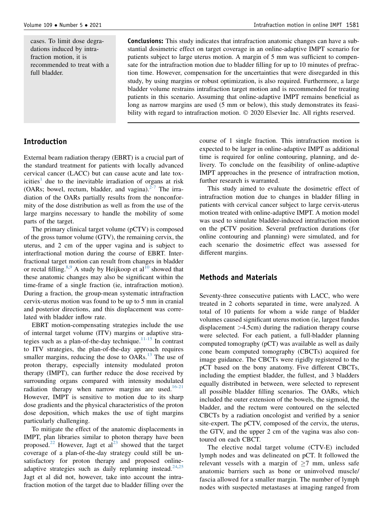cases. To limit dose degradations induced by intrafraction motion, it is recommended to treat with a full bladder.

Conclusions: This study indicates that intrafraction anatomic changes can have a substantial dosimetric effect on target coverage in an online-adaptive IMPT scenario for patients subject to large uterus motion. A margin of 5 mm was sufficient to compensate for the intrafraction motion due to bladder filling for up to 10 minutes of prefraction time. However, compensation for the uncertainties that were disregarded in this study, by using margins or robust optimization, is also required. Furthermore, a large bladder volume restrains intrafraction target motion and is recommended for treating patients in this scenario. Assuming that online-adaptive IMPT remains beneficial as long as narrow margins are used (5 mm or below), this study demonstrates its feasibility with regard to intrafraction motion.  $\odot$  2020 Elsevier Inc. All rights reserved.

## Introduction

External beam radiation therapy (EBRT) is a crucial part of the standard treatment for patients with locally advanced cervical cancer (LACC) but can cause acute and late tox-icities<sup>[1](#page-6-0)</sup> due to the inevitable irradiation of organs at risk (OARs; bowel, rectum, bladder, and vagina). $2-7$  The irradiation of the OARs partially results from the nonconformity of the dose distribution as well as from the use of the large margins necessary to handle the mobility of some parts of the target.

The primary clinical target volume (pCTV) is composed of the gross tumor volume (GTV), the remaining cervix, the uterus, and 2 cm of the upper vagina and is subject to interfractional motion during the course of EBRT. Interfractional target motion can result from changes in bladder or rectal filling.<sup>[8](#page-7-1)[,9](#page-7-2)</sup> A study by Heijkoop et al<sup>[10](#page-7-3)</sup> showed that these anatomic changes may also be significant within the time-frame of a single fraction (ie, intrafraction motion). During a fraction, the group-mean systematic intrafraction cervix-uterus motion was found to be up to 5 mm in cranial and posterior directions, and this displacement was correlated with bladder inflow rate.

EBRT motion-compensating strategies include the use of internal target volume (ITV) margins or adaptive stra-tegies such as a plan-of-the-day technique.<sup>[11-15](#page-7-4)</sup> In contrast to ITV strategies, the plan-of-the-day approach requires smaller margins, reducing the dose to  $OARs$ .<sup>[13](#page-7-5)</sup> The use of proton therapy, especially intensity modulated proton therapy (IMPT), can further reduce the dose received by surrounding organs compared with intensity modulated radiation therapy when narrow margins are used. $16-21$ However, IMPT is sensitive to motion due to its sharp dose gradients and the physical characteristics of the proton dose deposition, which makes the use of tight margins particularly challenging.

To mitigate the effect of the anatomic displacements in IMPT, plan libraries similar to photon therapy have been proposed.<sup>[22](#page-7-7)</sup> However, Jagt et al<sup>[23](#page-7-8)</sup> showed that the target coverage of a plan-of-the-day strategy could still be unsatisfactory for proton therapy and proposed online-adaptive strategies such as daily replanning instead.<sup>[24](#page-7-9)[,25](#page-7-10)</sup> Jagt et al did not, however, take into account the intrafraction motion of the target due to bladder filling over the

course of 1 single fraction. This intrafraction motion is expected to be larger in online-adaptive IMPT as additional time is required for online contouring, planning, and delivery. To conclude on the feasibility of online-adaptive IMPT approaches in the presence of intrafraction motion, further research is warranted.

This study aimed to evaluate the dosimetric effect of intrafraction motion due to changes in bladder filling in patients with cervical cancer subject to large cervix-uterus motion treated with online-adaptive IMPT. A motion model was used to simulate bladder-induced intrafraction motion on the pCTV position. Several prefraction durations (for online contouring and planning) were simulated, and for each scenario the dosimetric effect was assessed for different margins.

## Methods and Materials

Seventy-three consecutive patients with LACC, who were treated in 2 cohorts separated in time, were analyzed. A total of 10 patients for whom a wide range of bladder volumes caused significant uterus motion (ie, largest fundus displacement >4.5cm) during the radiation therapy course were selected. For each patient, a full-bladder planning computed tomography (pCT) was available as well as daily cone beam computed tomography (CBCTs) acquired for image guidance. The CBCTs were rigidly registered to the pCT based on the bony anatomy. Five different CBCTs, including the emptiest bladder, the fullest, and 3 bladders equally distributed in between, were selected to represent all possible bladder filling scenarios. The OARs, which included the outer extension of the bowels, the sigmoid, the bladder, and the rectum were contoured on the selected CBCTs by a radiation oncologist and verified by a senior site-expert. The pCTV, composed of the cervix, the uterus, the GTV, and the upper 2 cm of the vagina was also contoured on each CBCT.

The elective nodal target volume (CTV-E) included lymph nodes and was delineated on pCT. It followed the relevant vessels with a margin of  $>7$  mm, unless safe anatomic barriers such as bone or uninvolved muscle/ fascia allowed for a smaller margin. The number of lymph nodes with suspected metastases at imaging ranged from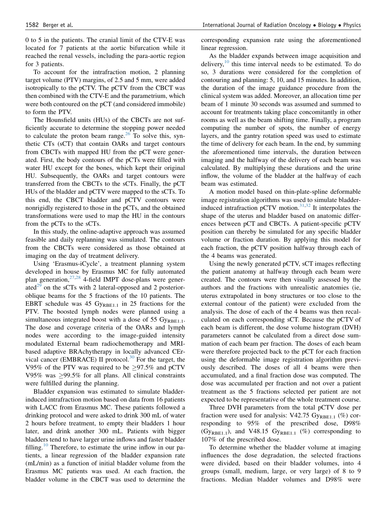0 to 5 in the patients. The cranial limit of the CTV-E was located for 7 patients at the aortic bifurcation while it reached the renal vessels, including the para-aortic region for 3 patients.

To account for the intrafraction motion, 2 planning target volume (PTV) margins, of 2.5 and 5 mm, were added isotropically to the pCTV. The pCTV from the CBCT was then combined with the CTV-E and the parametrium, which were both contoured on the pCT (and considered immobile) to form the PTV.

The Hounsfield units (HUs) of the CBCTs are not sufficiently accurate to determine the stopping power needed to calculate the proton beam range. $^{26}$  $^{26}$  $^{26}$  To solve this, synthetic CTs (sCT) that contain OARs and target contours from CBCTs with mapped HU from the pCT were generated. First, the body contours of the pCTs were filled with water HU except for the bones, which kept their original HU. Subsequently, the OARs and target contours were transferred from the CBCTs to the sCTs. Finally, the pCT HUs of the bladder and pCTV were mapped to the sCTs. To this end, the CBCT bladder and pCTV contours were nonrigidly registered to those in the pCTs, and the obtained transformations were used to map the HU in the contours from the pCTs to the sCTs.

In this study, the online-adaptive approach was assumed feasible and daily replanning was simulated. The contours from the CBCTs were considered as those obtained at imaging on the day of treatment delivery.

Using 'Erasmus-iCycle', a treatment planning system developed in house by Erasmus MC for fully automated plan generation,  $27,28$  $27,28$  4-field IMPT dose-plans were generated $^{29}$  $^{29}$  $^{29}$  on the sCTs with 2 lateral-opposed and 2 posterioroblique beams for the 5 fractions of the 10 patients. The EBRT schedule was 45  $Gy_{RBE1.1}$  in 25 fractions for the PTV. The boosted lymph nodes were planned using a simultaneous integrated boost with a dose of 55  $Gy_{RBE1.1}$ . The dose and coverage criteria of the OARs and lymph nodes were according to the image-guided intensity modulated External beam radiochemotherapy and MRIbased adaptive BRAchytherapy in locally advanced CErvical cancer (EMBRACE) II protocol. $30$  For the target, the V95% of the PTV was required to be  $\geq$ 97.5% and pCTV V95% was  $>99.5\%$  for all plans. All clinical constraints were fulfilled during the planning.

Bladder expansion was estimated to simulate bladderinduced intrafraction motion based on data from 16 patients with LACC from Erasmus MC. These patients followed a drinking protocol and were asked to drink 300 mL of water 2 hours before treatment, to empty their bladders 1 hour later, and drink another 300 mL. Patients with bigger bladders tend to have larger urine inflows and faster bladder filling.<sup>[10](#page-7-3)</sup> Therefore, to estimate the urine inflow in our patients, a linear regression of the bladder expansion rate (mL/min) as a function of initial bladder volume from the Erasmus MC patients was used. At each fraction, the bladder volume in the CBCT was used to determine the corresponding expansion rate using the aforementioned linear regression.

As the bladder expands between image acquisition and delivery,<sup>[10](#page-7-3)</sup> this time interval needs to be estimated. To do so, 3 durations were considered for the completion of contouring and planning: 5, 10, and 15 minutes. In addition, the duration of the image guidance procedure from the clinical system was added. Moreover, an allocation time per beam of 1 minute 30 seconds was assumed and summed to account for treatments taking place concomitantly in other rooms as well as the beam shifting time. Finally, a program computing the number of spots, the number of energy layers, and the gantry rotation speed was used to estimate the time of delivery for each beam. In the end, by summing the aforementioned time intervals, the duration between imaging and the halfway of the delivery of each beam was calculated. By multiplying these durations and the urine inflow, the volume of the bladder at the halfway of each beam was estimated.

A motion model based on thin-plate-spline deformable image registration algorithms was used to simulate bladderinduced intrafraction pCTV motion. $31,32$  $31,32$  It interpolates the shape of the uterus and bladder based on anatomic differences between pCT and CBCTs. A patient-specific pCTV position can thereby be simulated for any specific bladder volume or fraction duration. By applying this model for each fraction, the pCTV position halfway through each of the 4 beams was generated.

Using the newly generated pCTV, sCT images reflecting the patient anatomy at halfway through each beam were created. The contours were then visually assessed by the authors and the fractions with unrealistic anatomies (ie, uterus extrapolated in bony structures or too close to the external contour of the patient) were excluded from the analysis. The dose of each of the 4 beams was then recalculated on each corresponding sCT. Because the pCTV of each beam is different, the dose volume histogram (DVH) parameters cannot be calculated from a direct dose summation of each beam per fraction. The doses of each beam were therefore projected back to the pCT for each fraction using the deformable image registration algorithm previously described. The doses of all 4 beams were then accumulated, and a final fraction dose was computed. The dose was accumulated per fraction and not over a patient treatment as the 5 fractions selected per patient are not expected to be representative of the whole treatment course.

Three DVH parameters from the total pCTV dose per fraction were used for analysis: V42.75  $Gy_{RBE1.1}$  (%) corresponding to 95% of the prescribed dose, D98% (Gy<sub>RBE1.1</sub>), and V48.15 Gy<sub>RBE1.1</sub> (%) corresponding to 107% of the prescribed dose.

To determine whether the bladder volume at imaging influences the dose degradation, the selected fractions were divided, based on their bladder volumes, into 4 groups (small, medium, large, or very large) of 8 to 9 fractions. Median bladder volumes and D98% were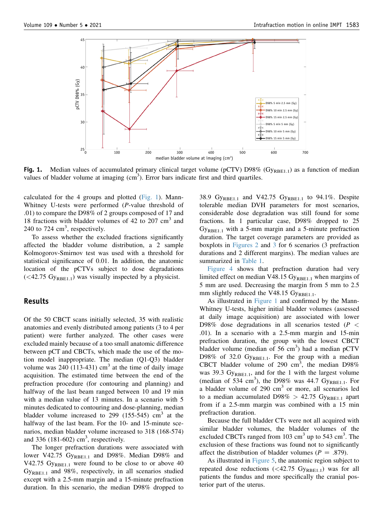<span id="page-3-0"></span>

Fig. 1. Median values of accumulated primary clinical target volume (pCTV) D98% ( $G_{YRBE1.1}$ ) as a function of median values of bladder volume at imaging  $(cm<sup>3</sup>)$ . Error bars indicate first and third quartiles.

calculated for the 4 groups and plotted ([Fig. 1](#page-3-0)). Mann-Whitney U-tests were performed (P-value threshold of .01) to compare the D98% of 2 groups composed of 17 and 18 fractions with bladder volumes of 42 to  $207 \text{ cm}^3$  and 240 to 724  $\text{cm}^3$ , respectively.

To assess whether the excluded fractions significantly affected the bladder volume distribution, a 2 sample Kolmogorov-Smirnov test was used with a threshold for statistical significance of 0.01. In addition, the anatomic location of the pCTVs subject to dose degradations  $( $42.75 \text{ Gy}_{\text{RRF1-1}}$ ) was visually inspected by a physicist.$ 

#### Results

Of the 50 CBCT scans initially selected, 35 with realistic anatomies and evenly distributed among patients (3 to 4 per patient) were further analyzed. The other cases were excluded mainly because of a too small anatomic difference between pCT and CBCTs, which made the use of the motion model inappropriate. The median (Q1-Q3) bladder volume was  $240$  (113-431) cm<sup>3</sup> at the time of daily image acquisition. The estimated time between the end of the prefraction procedure (for contouring and planning) and halfway of the last beam ranged between 10 and 19 min with a median value of 13 minutes. In a scenario with 5 minutes dedicated to contouring and dose-planning, median bladder volume increased to 299 (155-545)  $\text{cm}^3$  at the halfway of the last beam. For the 10- and 15-minute scenarios, median bladder volume increased to 318 (168-574) and 336  $(181-602)$  cm<sup>3</sup>, respectively.

The longer prefraction durations were associated with lower V42.75 GyRBE1.1 and D98%. Median D98% and V42.75  $Gy_{RBE1.1}$  were found to be close to or above 40  $Gy<sub>REE1.1</sub>$  and 98%, respectively, in all scenarios studied except with a 2.5-mm margin and a 15-minute prefraction duration. In this scenario, the median D98% dropped to

38.9 Gy<sub>RBE1.1</sub> and V42.75 Gy<sub>RBE1.1</sub> to 94.1%. Despite tolerable median DVH parameters for most scenarios, considerable dose degradation was still found for some fractions. In 1 particular case, D98% dropped to 25  $Gy_{RBE1.1}$  with a 5-mm margin and a 5-minute prefraction duration. The target coverage parameters are provided as boxplots in [Figures 2](#page-4-0) and [3](#page-4-1) for 6 scenarios (3 prefraction durations and 2 different margins). The median values are summarized in [Table 1.](#page-4-2)

[Figure 4](#page-4-3) shows that prefraction duration had very limited effect on median V48.15  $Gy_{RBE1.1}$  when margins of 5 mm are used. Decreasing the margin from 5 mm to 2.5 mm slightly reduced the V48.15  $Gy_{RBE1.1}$ .

As illustrated in [Figure 1](#page-3-0) and confirmed by the Mann-Whitney U-tests, higher initial bladder volumes (assessed at daily image acquisition) are associated with lower D98% dose degradations in all scenarios tested ( $P \leq$ .01). In a scenario with a 2.5-mm margin and 15-min prefraction duration, the group with the lowest CBCT bladder volume (median of  $56 \text{ cm}^3$ ) had a median pCTV D98% of 32.0  $Gy_{RBE1.1}$ . For the group with a median CBCT bladder volume of 290  $\text{cm}^3$ , the median D98% was 39.3 Gy<sub>RBE1.1</sub>, and for the 1 with the largest volume (median of 534 cm<sup>3</sup>), the D98% was 44.7 Gy<sub>RBE1.1</sub>. For a bladder volume of  $290 \text{ cm}^3$  or more, all scenarios led to a median accumulated D98% > 42.75 GyRBE1.1 apart from if a 2.5-mm margin was combined with a 15 min prefraction duration.

Because the full bladder CTs were not all acquired with similar bladder volumes, the bladder volumes of the excluded CBCTs ranged from  $103 \text{ cm}^3$  up to  $543 \text{ cm}^3$ . The exclusion of these fractions was found not to significantly affect the distribution of bladder volumes ( $P = .879$ ).

As illustrated in [Figure 5](#page-5-0), the anatomic region subject to repeated dose reductions  $( $42.75 \text{ Gy}_{RBE1.1}$ ) was for all$ patients the fundus and more specifically the cranial posterior part of the uterus.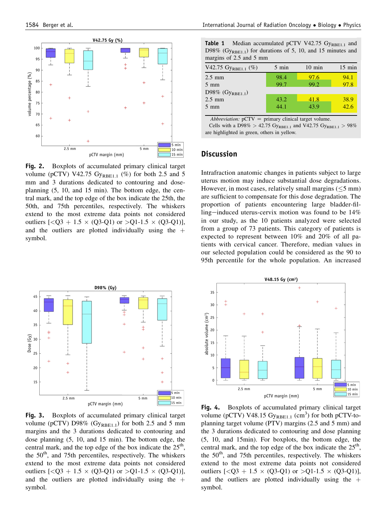<span id="page-4-0"></span>

Fig. 2. Boxplots of accumulated primary clinical target volume (pCTV) V42.75  $Gy_{RBE1.1}$  (%) for both 2.5 and 5 mm and 3 durations dedicated to contouring and doseplanning (5, 10, and 15 min). The bottom edge, the central mark, and the top edge of the box indicate the 25th, the 50th, and 75th percentiles, respectively. The whiskers extend to the most extreme data points not considered outliers  $[<\,>Q3 + 1.5 \times (Q3 - Q1)$  or  $> Q1 - 1.5 \times (Q3 - Q1)$ ], and the outliers are plotted individually using the  $+$ symbol.

<span id="page-4-1"></span>

Fig. 3. Boxplots of accumulated primary clinical target volume (pCTV) D98% ( $Gy_{RBE1,1}$ ) for both 2.5 and 5 mm margins and the 3 durations dedicated to contouring and dose planning (5, 10, and 15 min). The bottom edge, the central mark, and the top edge of the box indicate the  $25<sup>th</sup>$ , the  $50<sup>th</sup>$ , and 75th percentiles, respectively. The whiskers extend to the most extreme data points not considered outliers  $[<\,>Q3 + 1.5 \times (Q3 - Q1)$  or  $> Q1 - 1.5 \times (Q3 - Q1)$ ], and the outliers are plotted individually using the  $+$ symbol.

<span id="page-4-2"></span>

| <b>Table 1</b> Median accumulated pCTV V42.75 $Gy_{RBE1,1}$ and         |  |
|-------------------------------------------------------------------------|--|
| D98% (Gy <sub>RBE1.1</sub> ) for durations of 5, 10, and 15 minutes and |  |
| margins of 2.5 and 5 mm                                                 |  |

| V42.75 $Gy_{RBE1.1}$ (%) | $5 \text{ min}$ | $10 \text{ min}$ | $15 \text{ min}$ |
|--------------------------|-----------------|------------------|------------------|
| $2.5 \text{ mm}$         | 98.4            | 97.6             | 94.1             |
| $5 \text{ mm}$           | 99.7            | 99.2             | 97.8             |
| D98% $(Gy_{RBE1.1})$     |                 |                  |                  |
| $2.5 \text{ mm}$         | 43.2            | 41.8             | 38.9             |
| $5 \text{ mm}$           | 44.1            | 43.9             | $\frac{1}{42.6}$ |

Abbreviation:  $pCTV = primary clinical target volume$ .

Cells with a D98% > 42.75 GyRBE1.1 and V42.75 GyRBE1.1 > 98% are highlighted in green, others in yellow.

### **Discussion**

Intrafraction anatomic changes in patients subject to large uterus motion may induce substantial dose degradations. However, in most cases, relatively small margins  $(\leq 5 \text{ mm})$ are sufficient to compensate for this dose degradation. The proportion of patients encountering large bladder-filling-induced uterus-cervix motion was found to be  $14\%$ in our study, as the 10 patients analyzed were selected from a group of 73 patients. This category of patients is expected to represent between 10% and 20% of all patients with cervical cancer. Therefore, median values in our selected population could be considered as the 90 to 95th percentile for the whole population. An increased

<span id="page-4-3"></span>

Fig. 4. Boxplots of accumulated primary clinical target volume ( $p$ CTV) V48.15  $Gy_{RBE1.1}$  (cm<sup>3</sup>) for both  $p$ CTV-toplanning target volume (PTV) margins (2.5 and 5 mm) and the 3 durations dedicated to contouring and dose planning (5, 10, and 15min). For boxplots, the bottom edge, the central mark, and the top edge of the box indicate the  $25<sup>th</sup>$ , the  $50<sup>th</sup>$ , and 75th percentiles, respectively. The whiskers extend to the most extreme data points not considered outliers  $[<\,>Q3 + 1.5 \times (Q3 - Q1)$  or  $>Q1 - 1.5 \times (Q3 - Q1)$ ], and the outliers are plotted individually using the  $+$ symbol.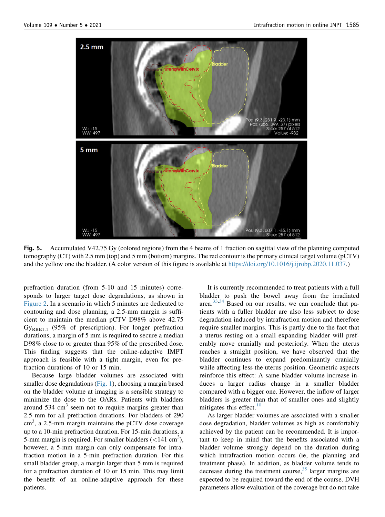<span id="page-5-0"></span>

Fig. 5. Accumulated V42.75 Gy (colored regions) from the 4 beams of 1 fraction on sagittal view of the planning computed tomography (CT) with 2.5 mm (top) and 5 mm (bottom) margins. The red contour is the primary clinical target volume (pCTV) and the yellow one the bladder. (A color version of this figure is available at [https://doi.org/10.1016/j.ijrobp.2020.11.037.](https://doi.org/10.1016/j.ijrobp.2020.11.037))

prefraction duration (from 5-10 and 15 minutes) corresponds to larger target dose degradations, as shown in [Figure 2.](#page-4-0) In a scenario in which 5 minutes are dedicated to contouring and dose planning, a 2.5-mm margin is sufficient to maintain the median pCTV D98% above 42.75 GyRBE1.1 (95% of prescription). For longer prefraction durations, a margin of 5 mm is required to secure a median D98% close to or greater than 95% of the prescribed dose. This finding suggests that the online-adaptive IMPT approach is feasible with a tight margin, even for prefraction durations of 10 or 15 min.

Because large bladder volumes are associated with smaller dose degradations ([Fig. 1](#page-3-0)), choosing a margin based on the bladder volume at imaging is a sensible strategy to minimize the dose to the OARs. Patients with bladders around  $534 \text{ cm}^3$  seem not to require margins greater than 2.5 mm for all prefraction durations. For bladders of 290  $\text{cm}^3$ , a 2.5-mm margin maintains the pCTV dose coverage up to a 10-min prefraction duration. For 15-min durations, a 5-mm margin is required. For smaller bladders  $(<141 \text{ cm}^3)$ , however, a 5-mm margin can only compensate for intrafraction motion in a 5-min prefraction duration. For this small bladder group, a margin larger than 5 mm is required for a prefraction duration of 10 or 15 min. This may limit the benefit of an online-adaptive approach for these patients.

It is currently recommended to treat patients with a full bladder to push the bowel away from the irradiated area.[33](#page-7-18),[34](#page-7-19) Based on our results, we can conclude that patients with a fuller bladder are also less subject to dose degradation induced by intrafraction motion and therefore require smaller margins. This is partly due to the fact that a uterus resting on a small expanding bladder will preferably move cranially and posteriorly. When the uterus reaches a straight position, we have observed that the bladder continues to expand predominantly cranially while affecting less the uterus position. Geometric aspects reinforce this effect: A same bladder volume increase induces a larger radius change in a smaller bladder compared with a bigger one. However, the inflow of larger bladders is greater than that of smaller ones and slightly mitigates this effect. $10$ 

As larger bladder volumes are associated with a smaller dose degradation, bladder volumes as high as comfortably achieved by the patient can be recommended. It is important to keep in mind that the benefits associated with a bladder volume strongly depend on the duration during which intrafraction motion occurs (ie, the planning and treatment phase). In addition, as bladder volume tends to decrease during the treatment course,  $35$  larger margins are expected to be required toward the end of the course. DVH parameters allow evaluation of the coverage but do not take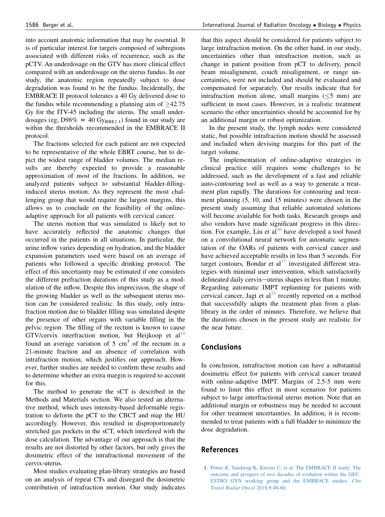into account anatomic information that may be essential. It is of particular interest for targets composed of subregions associated with different risks of recurrence, such as the pCTV. An underdosage on the GTV has more clinical effect compared with an underdosage on the uterus fundus. In our study, the anatomic region repeatedly subject to dose degradation was found to be the fundus. Incidentally, the EMBRACE II protocol tolerates a 40 Gy delivered dose to the fundus while recommending a planning aim of  $\geq 42.75$ Gy for the ITV-45 including the uterus. The small underdosages (eg, D98%  $\approx$  40 G<sub>VRBE1.1</sub>) found in our study are within the thresholds recommended in the EMBRACE II protocol.

The fractions selected for each patient are not expected to be representative of the whole EBRT course, but to depict the widest range of bladder volumes. The median results are thereby expected to provide a reasonable approximation of most of the fractions. In addition, we analyzed patients subject to substantial bladder-fillinginduced uterus motion. As they represent the most challenging group that would require the largest margins, this allows us to conclude on the feasibility of the onlineadaptive approach for all patients with cervical cancer.

The uterus motion that was simulated is likely not to have accurately reflected the anatomic changes that occurred in the patients in all situations. In particular, the urine inflow varies depending on hydration, and the bladder expansion parameters used were based on an average of patients who followed a specific drinking protocol. The effect of this uncertainty may be estimated if one considers the different prefraction durations of this study as a modulation of the inflow. Despite this imprecision, the shape of the growing bladder as well as the subsequent uterus motion can be considered realistic. In this study, only intrafraction motion due to bladder filling was simulated despite the presence of other organs with variable filling in the pelvic region. The filling of the rectum is known to cause GTV/cervix interfraction motion, but Heijkoop et al<sup>[10](#page-7-3)</sup> found an average variation of  $5 \text{ cm}^3$  of the rectum in a 21-minute fraction and an absence of correlation with intrafraction motion, which justifies our approach. However, further studies are needed to confirm these results and to determine whether an extra margin is required to account for this.

The method to generate the sCT is described in the Methods and Materials section. We also tested an alternative method, which uses intensity-based deformable registration to deform the pCT to the CBCT and map the HU accordingly. However, this resulted in disproportionately stretched gas pockets in the sCT, which interfered with the dose calculation. The advantage of our approach is that the results are not distorted by other factors, but only gives the dosimetric effect of the intrafractional movement of the cervix-uterus.

Most studies evaluating plan-library strategies are based on an analysis of repeat CTs and disregard the dosimetric contribution of intrafraction motion. Our study indicates

that this aspect should be considered for patients subject to large intrafraction motion. On the other hand, in our study, uncertainties other than intrafraction motion, such as change in patient position from pCT to delivery, pencil beam misalignment, couch misalignment, or range uncertainties, were not included and should be evaluated and compensated for separately. Our results indicate that for intrafraction motion alone, small margins  $(\leq 5$  mm) are sufficient in most cases. However, in a realistic treatment scenario the other uncertainties should be accounted for by an additional margin or robust optimization.

In the present study, the lymph nodes were considered static, but possible intrafraction motion should be assessed and included when devising margins for this part of the target volume.

The implementation of online-adaptive strategies in clinical practice still requires some challenges to be addressed, such as the development of a fast and reliable auto-contouring tool as well as a way to generate a treatment plan rapidly. The durations for contouring and treatment planning (5, 10, and 15 minutes) were chosen in the present study assuming that reliable automated solutions will become available for both tasks. Research groups and also vendors have made significant progress in this direction. For example, Liu et  $al^{36}$  $al^{36}$  $al^{36}$  have developed a tool based on a convolutional neural network for automatic segmentation of the OARs of patients with cervical cancer and have achieved acceptable results in less than 5 seconds. For target contours, Bondar et  $al<sup>37</sup>$  $al<sup>37</sup>$  $al<sup>37</sup>$  investigated different strategies with minimal user intervention, which satisfactorily delineated daily cervix-uterus shapes in less than 1 minute. Regarding automatic IMPT replanning for patients with cervical cancer, Jagt et  $al<sup>23</sup>$  $al<sup>23</sup>$  $al<sup>23</sup>$  recently reported on a method that successfully adapts the treatment plan from a planlibrary in the order of minutes. Therefore, we believe that the durations chosen in the present study are realistic for the near future.

## Conclusions

In conclusion, intrafraction motion can have a substantial dosimetric effect for patients with cervical cancer treated with online-adaptive IMPT. Margins of 2.5-5 mm were found to limit this effect in most scenarios for patients subject to large interfractional uterus motion. Note that an additional margin or robustness may be needed to account for other treatment uncertainties. In addition, it is recommended to treat patients with a full bladder to minimize the dose degradation.

#### References

<span id="page-6-0"></span>1. Pötter R, Tanderup K, Kirisits C, et al. The EMBRACE II study: The [outcome and prospect of two decades of evolution within the GEC-](http://refhub.elsevier.com/S0360-3016(20)34559-4/sref1)[ESTRO GYN working group and the EMBRACE studies.](http://refhub.elsevier.com/S0360-3016(20)34559-4/sref1) Clin [Transl Radiat Oncol](http://refhub.elsevier.com/S0360-3016(20)34559-4/sref1) 2018;9:48-60.